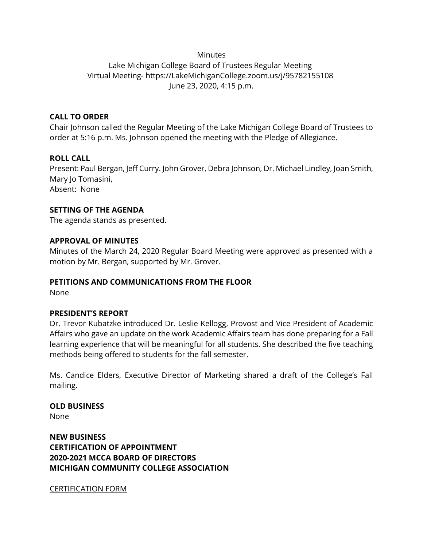## **Minutes**

# Lake Michigan College Board of Trustees Regular Meeting Virtual Meeting- https://LakeMichiganCollege.zoom.us/j/95782155108 June 23, 2020, 4:15 p.m.

## **CALL TO ORDER**

Chair Johnson called the Regular Meeting of the Lake Michigan College Board of Trustees to order at 5:16 p.m. Ms. Johnson opened the meeting with the Pledge of Allegiance.

# **ROLL CALL**

Present: Paul Bergan, Jeff Curry. John Grover, Debra Johnson, Dr. Michael Lindley, Joan Smith, Mary Io Tomasini, Absent: None

### **SETTING OF THE AGENDA**

The agenda stands as presented.

### **APPROVAL OF MINUTES**

Minutes of the March 24, 2020 Regular Board Meeting were approved as presented with a motion by Mr. Bergan, supported by Mr. Grover.

# **PETITIONS AND COMMUNICATIONS FROM THE FLOOR**

None

### **PRESIDENT'S REPORT**

Dr. Trevor Kubatzke introduced Dr. Leslie Kellogg, Provost and Vice President of Academic Affairs who gave an update on the work Academic Affairs team has done preparing for a Fall learning experience that will be meaningful for all students. She described the five teaching methods being offered to students for the fall semester.

Ms. Candice Elders, Executive Director of Marketing shared a draft of the College's Fall mailing.

### **OLD BUSINESS**

None

**NEW BUSINESS CERTIFICATION OF APPOINTMENT 2020-2021 MCCA BOARD OF DIRECTORS MICHIGAN COMMUNITY COLLEGE ASSOCIATION**

CERTIFICATION FORM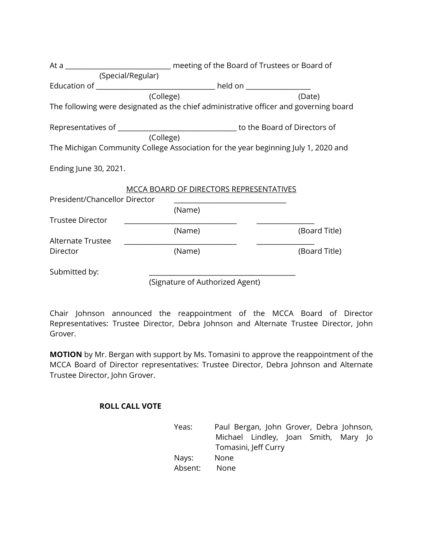|                                                        | At a _________________________________ meeting of the Board of Trustees or Board of |                                                                                       |
|--------------------------------------------------------|-------------------------------------------------------------------------------------|---------------------------------------------------------------------------------------|
|                                                        | (Special/Regular)                                                                   |                                                                                       |
|                                                        |                                                                                     |                                                                                       |
|                                                        | (College)                                                                           | (Date)                                                                                |
|                                                        |                                                                                     | The following were designated as the chief administrative officer and governing board |
|                                                        |                                                                                     |                                                                                       |
|                                                        | (College)                                                                           |                                                                                       |
|                                                        |                                                                                     | The Michigan Community College Association for the year beginning July 1, 2020 and    |
| Ending June 30, 2021.<br>President/Chancellor Director | <b>MCCA BOARD OF DIRECTORS REPRESENTATIVES</b>                                      | the control of the control of the control of the control of the control of            |
|                                                        | (Name)                                                                              |                                                                                       |
| <b>Trustee Director</b>                                |                                                                                     |                                                                                       |
|                                                        | (Name)                                                                              | (Board Title)                                                                         |
| Alternate Trustee                                      |                                                                                     |                                                                                       |
| Director                                               | (Name)                                                                              | (Board Title)                                                                         |
| Submitted by:                                          |                                                                                     |                                                                                       |
|                                                        | (Signature of Authorized Agent)                                                     |                                                                                       |

Chair Johnson announced the reappointment of the MCCA Board of Director Representatives: Trustee Director, Debra Johnson and Alternate Trustee Director, John Grover.

**MOTION** by Mr. Bergan with support by Ms. Tomasini to approve the reappointment of the MCCA Board of Director representatives: Trustee Director, Debra Johnson and Alternate Trustee Director, John Grover.

# **ROLL CALL VOTE**

| Yeas:   | Paul Bergan, John Grover, Debra Johnson, |                                      |  |  |
|---------|------------------------------------------|--------------------------------------|--|--|
|         |                                          | Michael Lindley, Joan Smith, Mary Jo |  |  |
|         |                                          | Tomasini, Jeff Curry                 |  |  |
| Nays:   | <b>None</b>                              |                                      |  |  |
| Absent: | None                                     |                                      |  |  |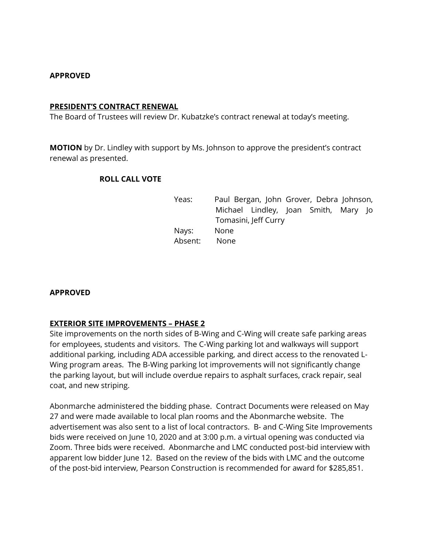### **APPROVED**

#### **PRESIDENT'S CONTRACT RENEWAL**

The Board of Trustees will review Dr. Kubatzke's contract renewal at today's meeting.

**MOTION** by Dr. Lindley with support by Ms. Johnson to approve the president's contract renewal as presented.

### **ROLL CALL VOTE**

Yeas: Paul Bergan, John Grover, Debra Johnson, Michael Lindley, Joan Smith, Mary Jo Tomasini, Jeff Curry Nays: None Absent: None

### **APPROVED**

### **EXTERIOR SITE IMPROVEMENTS – PHASE 2**

Site improvements on the north sides of B-Wing and C-Wing will create safe parking areas for employees, students and visitors. The C-Wing parking lot and walkways will support additional parking, including ADA accessible parking, and direct access to the renovated L-Wing program areas. The B-Wing parking lot improvements will not significantly change the parking layout, but will include overdue repairs to asphalt surfaces, crack repair, seal coat, and new striping.

Abonmarche administered the bidding phase. Contract Documents were released on May 27 and were made available to local plan rooms and the Abonmarche website. The advertisement was also sent to a list of local contractors. B- and C-Wing Site Improvements bids were received on June 10, 2020 and at 3:00 p.m. a virtual opening was conducted via Zoom. Three bids were received. Abonmarche and LMC conducted post-bid interview with apparent low bidder June 12. Based on the review of the bids with LMC and the outcome of the post-bid interview, Pearson Construction is recommended for award for \$285,851.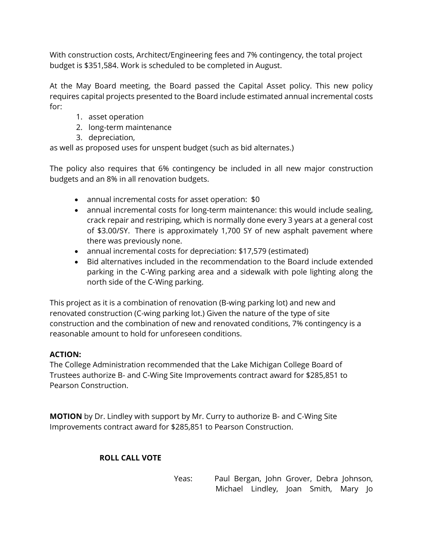With construction costs, Architect/Engineering fees and 7% contingency, the total project budget is \$351,584. Work is scheduled to be completed in August.

At the May Board meeting, the Board passed the Capital Asset policy. This new policy requires capital projects presented to the Board include estimated annual incremental costs for:

- 1. asset operation
- 2. long-term maintenance
- 3. depreciation,

as well as proposed uses for unspent budget (such as bid alternates.)

The policy also requires that 6% contingency be included in all new major construction budgets and an 8% in all renovation budgets.

- annual incremental costs for asset operation: \$0
- annual incremental costs for long-term maintenance: this would include sealing, crack repair and restriping, which is normally done every 3 years at a general cost of \$3.00/SY. There is approximately 1,700 SY of new asphalt pavement where there was previously none.
- annual incremental costs for depreciation: \$17,579 (estimated)
- Bid alternatives included in the recommendation to the Board include extended parking in the C-Wing parking area and a sidewalk with pole lighting along the north side of the C-Wing parking.

This project as it is a combination of renovation (B-wing parking lot) and new and renovated construction (C-wing parking lot.) Given the nature of the type of site construction and the combination of new and renovated conditions, 7% contingency is a reasonable amount to hold for unforeseen conditions.

# **ACTION:**

The College Administration recommended that the Lake Michigan College Board of Trustees authorize B- and C-Wing Site Improvements contract award for \$285,851 to Pearson Construction.

**MOTION** by Dr. Lindley with support by Mr. Curry to authorize B- and C-Wing Site Improvements contract award for \$285,851 to Pearson Construction.

# **ROLL CALL VOTE**

Yeas: Paul Bergan, John Grover, Debra Johnson, Michael Lindley, Joan Smith, Mary Jo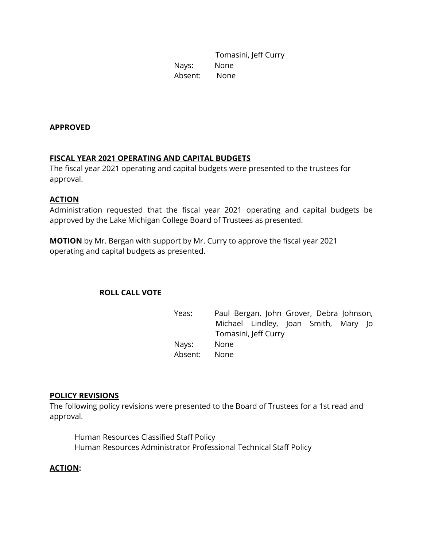Tomasini, Jeff Curry Nays: None Absent: None

### **APPROVED**

# **FISCAL YEAR 2021 OPERATING AND CAPITAL BUDGETS**

The fiscal year 2021 operating and capital budgets were presented to the trustees for approval.

### **ACTION**

Administration requested that the fiscal year 2021 operating and capital budgets be approved by the Lake Michigan College Board of Trustees as presented.

**MOTION** by Mr. Bergan with support by Mr. Curry to approve the fiscal year 2021 operating and capital budgets as presented.

### **ROLL CALL VOTE**

Yeas: Paul Bergan, John Grover, Debra Johnson, Michael Lindley, Joan Smith, Mary Jo Tomasini, Jeff Curry Nays: None Absent: None

### **POLICY REVISIONS**

The following policy revisions were presented to the Board of Trustees for a 1st read and approval.

Human Resources Classified Staff Policy Human Resources Administrator Professional Technical Staff Policy

### **ACTION:**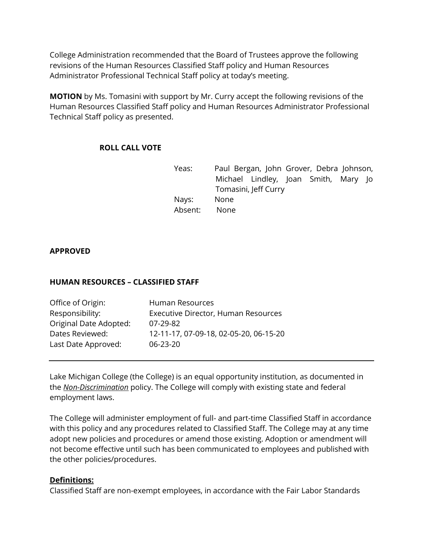College Administration recommended that the Board of Trustees approve the following revisions of the Human Resources Classified Staff policy and Human Resources Administrator Professional Technical Staff policy at today's meeting.

**MOTION** by Ms. Tomasini with support by Mr. Curry accept the following revisions of the Human Resources Classified Staff policy and Human Resources Administrator Professional Technical Staff policy as presented.

# **ROLL CALL VOTE**

| Yeas:   | Paul Bergan, John Grover, Debra Johnson, |  |  |  |
|---------|------------------------------------------|--|--|--|
|         | Michael Lindley, Joan Smith, Mary Jo     |  |  |  |
|         | Tomasini, Jeff Curry                     |  |  |  |
| Nays:   | None                                     |  |  |  |
| Absent: | None                                     |  |  |  |

### **APPROVED**

### **HUMAN RESOURCES – CLASSIFIED STAFF**

| Human Resources                            |
|--------------------------------------------|
| <b>Executive Director, Human Resources</b> |
| $07 - 29 - 82$                             |
| 12-11-17, 07-09-18, 02-05-20, 06-15-20     |
| $06 - 23 - 20$                             |
|                                            |

Lake Michigan College (the College) is an equal opportunity institution, as documented in the *[Non-Discrimination](https://www.lakemichigancollege.edu/policies/non-discrimination)* policy. The College will comply with existing state and federal employment laws.

The College will administer employment of full- and part-time Classified Staff in accordance with this policy and any procedures related to Classified Staff. The College may at any time adopt new policies and procedures or amend those existing. Adoption or amendment will not become effective until such has been communicated to employees and published with the other policies/procedures.

### **Definitions:**

Classified Staff are non-exempt employees, in accordance with the Fair Labor Standards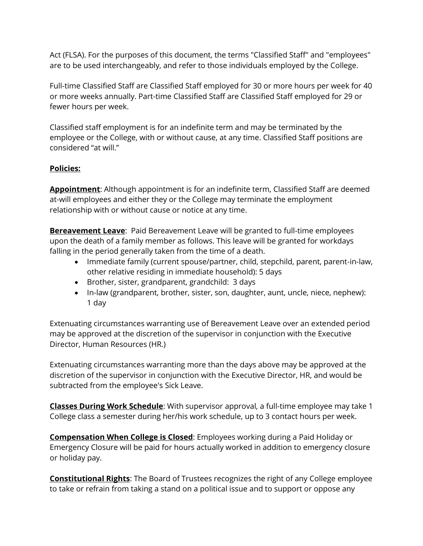Act (FLSA). For the purposes of this document, the terms "Classified Staff" and "employees" are to be used interchangeably, and refer to those individuals employed by the College.

Full-time Classified Staff are Classified Staff employed for 30 or more hours per week for 40 or more weeks annually. Part-time Classified Staff are Classified Staff employed for 29 or fewer hours per week.

Classified staff employment is for an indefinite term and may be terminated by the employee or the College, with or without cause, at any time. Classified Staff positions are considered "at will."

# **Policies:**

**Appointment**: Although appointment is for an indefinite term, Classified Staff are deemed at-will employees and either they or the College may terminate the employment relationship with or without cause or notice at any time.

**Bereavement Leave**: Paid Bereavement Leave will be granted to full-time employees upon the death of a family member as follows. This leave will be granted for workdays falling in the period generally taken from the time of a death.

- Immediate family (current spouse/partner, child, stepchild, parent, parent-in-law, other relative residing in immediate household): 5 days
- Brother, sister, grandparent, grandchild: 3 days
- In-law (grandparent, brother, sister, son, daughter, aunt, uncle, niece, nephew): 1 day

Extenuating circumstances warranting use of Bereavement Leave over an extended period may be approved at the discretion of the supervisor in conjunction with the Executive Director, Human Resources (HR.)

Extenuating circumstances warranting more than the days above may be approved at the discretion of the supervisor in conjunction with the Executive Director, HR, and would be subtracted from the employee's Sick Leave.

**Classes During Work Schedule**: With supervisor approval, a full-time employee may take 1 College class a semester during her/his work schedule, up to 3 contact hours per week.

**Compensation When College is Closed**: Employees working during a Paid Holiday or Emergency Closure will be paid for hours actually worked in addition to emergency closure or holiday pay.

**Constitutional Rights**: The Board of Trustees recognizes the right of any College employee to take or refrain from taking a stand on a political issue and to support or oppose any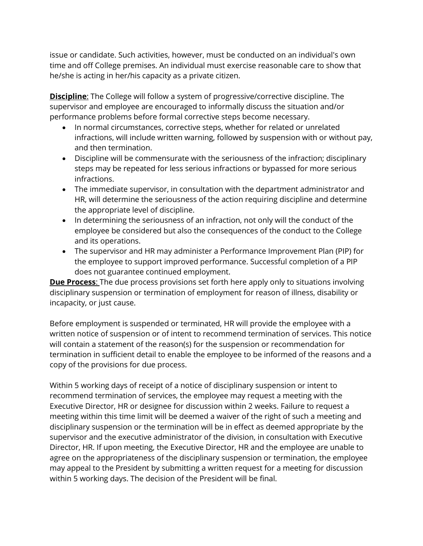issue or candidate. Such activities, however, must be conducted on an individual's own time and off College premises. An individual must exercise reasonable care to show that he/she is acting in her/his capacity as a private citizen.

**Discipline**: The College will follow a system of progressive/corrective discipline. The supervisor and employee are encouraged to informally discuss the situation and/or performance problems before formal corrective steps become necessary.

- In normal circumstances, corrective steps, whether for related or unrelated infractions, will include written warning, followed by suspension with or without pay, and then termination.
- Discipline will be commensurate with the seriousness of the infraction; disciplinary steps may be repeated for less serious infractions or bypassed for more serious infractions.
- The immediate supervisor, in consultation with the department administrator and HR, will determine the seriousness of the action requiring discipline and determine the appropriate level of discipline.
- In determining the seriousness of an infraction, not only will the conduct of the employee be considered but also the consequences of the conduct to the College and its operations.
- The supervisor and HR may administer a Performance Improvement Plan (PIP) for the employee to support improved performance. Successful completion of a PIP does not guarantee continued employment.

**Due Process**: The due process provisions set forth here apply only to situations involving disciplinary suspension or termination of employment for reason of illness, disability or incapacity, or just cause.

Before employment is suspended or terminated, HR will provide the employee with a written notice of suspension or of intent to recommend termination of services. This notice will contain a statement of the reason(s) for the suspension or recommendation for termination in sufficient detail to enable the employee to be informed of the reasons and a copy of the provisions for due process.

Within 5 working days of receipt of a notice of disciplinary suspension or intent to recommend termination of services, the employee may request a meeting with the Executive Director, HR or designee for discussion within 2 weeks. Failure to request a meeting within this time limit will be deemed a waiver of the right of such a meeting and disciplinary suspension or the termination will be in effect as deemed appropriate by the supervisor and the executive administrator of the division, in consultation with Executive Director, HR. If upon meeting, the Executive Director, HR and the employee are unable to agree on the appropriateness of the disciplinary suspension or termination, the employee may appeal to the President by submitting a written request for a meeting for discussion within 5 working days. The decision of the President will be final.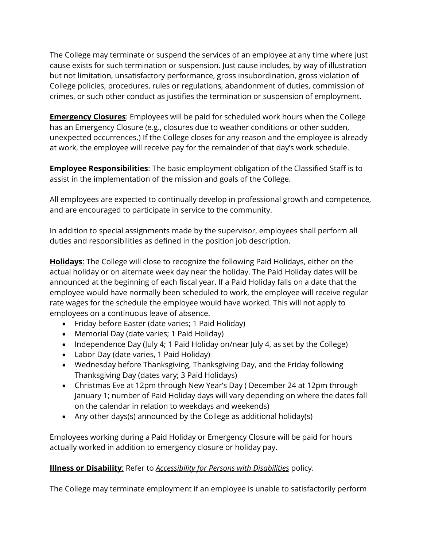The College may terminate or suspend the services of an employee at any time where just cause exists for such termination or suspension. Just cause includes, by way of illustration but not limitation, unsatisfactory performance, gross insubordination, gross violation of College policies, procedures, rules or regulations, abandonment of duties, commission of crimes, or such other conduct as justifies the termination or suspension of employment.

**Emergency Closures**: Employees will be paid for scheduled work hours when the College has an Emergency Closure (e.g., closures due to weather conditions or other sudden, unexpected occurrences.) If the College closes for any reason and the employee is already at work, the employee will receive pay for the remainder of that day's work schedule.

**Employee Responsibilities**: The basic employment obligation of the Classified Staff is to assist in the implementation of the mission and goals of the College.

All employees are expected to continually develop in professional growth and competence, and are encouraged to participate in service to the community.

In addition to special assignments made by the supervisor, employees shall perform all duties and responsibilities as defined in the position job description.

**Holidays**: The College will close to recognize the following Paid Holidays, either on the actual holiday or on alternate week day near the holiday. The Paid Holiday dates will be announced at the beginning of each fiscal year. If a Paid Holiday falls on a date that the employee would have normally been scheduled to work, the employee will receive regular rate wages for the schedule the employee would have worked. This will not apply to employees on a continuous leave of absence.

- Friday before Easter (date varies; 1 Paid Holiday)
- Memorial Day (date varies; 1 Paid Holiday)
- Independence Day (July 4; 1 Paid Holiday on/near July 4, as set by the College)
- Labor Day (date varies, 1 Paid Holiday)
- Wednesday before Thanksgiving, Thanksgiving Day, and the Friday following Thanksgiving Day (dates vary; 3 Paid Holidays)
- Christmas Eve at 12pm through New Year's Day (December 24 at 12pm through January 1; number of Paid Holiday days will vary depending on where the dates fall on the calendar in relation to weekdays and weekends)
- Any other days(s) announced by the College as additional holiday(s)

Employees working during a Paid Holiday or Emergency Closure will be paid for hours actually worked in addition to emergency closure or holiday pay.

# **Illness or Disability**: Refer to *[Accessibility for Persons with Disabilities](https://www.lakemichigancollege.edu/policies/accessibility)* policy.

The College may terminate employment if an employee is unable to satisfactorily perform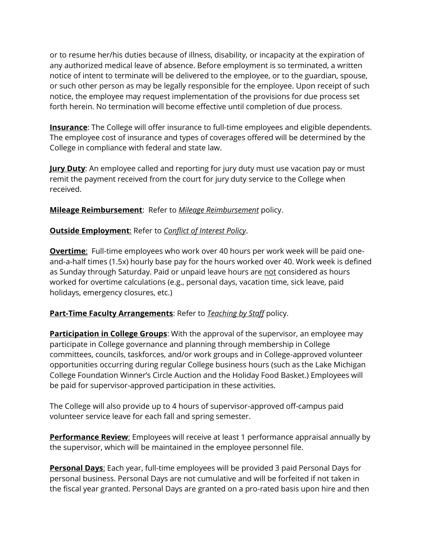or to resume her/his duties because of illness, disability, or incapacity at the expiration of any authorized medical leave of absence. Before employment is so terminated, a written notice of intent to terminate will be delivered to the employee, or to the guardian, spouse, or such other person as may be legally responsible for the employee. Upon receipt of such notice, the employee may request implementation of the provisions for due process set forth herein. No termination will become effective until completion of due process.

**Insurance**: The College will offer insurance to full-time employees and eligible dependents. The employee cost of insurance and types of coverages offered will be determined by the College in compliance with federal and state law.

**Jury Duty**: An employee called and reporting for jury duty must use vacation pay or must remit the payment received from the court for jury duty service to the College when received.

**Mileage Reimbursement**: Refer to *[Mileage Reimbursement](https://www.lakemichigancollege.edu/policies/mileage-reimbursement)* policy.

# **Outside Employment**: Refer to *[Conflict of Interest Policy](https://www.lakemichigancollege.edu/policies/conflict-of-interest---employee)*.

**Overtime**: Full-time employees who work over 40 hours per work week will be paid oneand-a-half times (1.5x) hourly base pay for the hours worked over 40. Work week is defined as Sunday through Saturday. Paid or unpaid leave hours are not considered as hours worked for overtime calculations (e.g., personal days, vacation time, sick leave, paid holidays, emergency closures, etc.)

# **Part-Time Faculty Arrangements**: Refer to *[Teaching by Staff](https://www.lakemichigancollege.edu/policies/teaching-by-staff)* policy.

**Participation in College Groups**: With the approval of the supervisor, an employee may participate in College governance and planning through membership in College committees, councils, taskforces, and/or work groups and in College-approved volunteer opportunities occurring during regular College business hours (such as the Lake Michigan College Foundation Winner's Circle Auction and the Holiday Food Basket.) Employees will be paid for supervisor-approved participation in these activities.

The College will also provide up to 4 hours of supervisor-approved off-campus paid volunteer service leave for each fall and spring semester.

**Performance Review:** Employees will receive at least 1 performance appraisal annually by the supervisor, which will be maintained in the employee personnel file.

**Personal Days**: Each year, full-time employees will be provided 3 paid Personal Days for personal business. Personal Days are not cumulative and will be forfeited if not taken in the fiscal year granted. Personal Days are granted on a pro-rated basis upon hire and then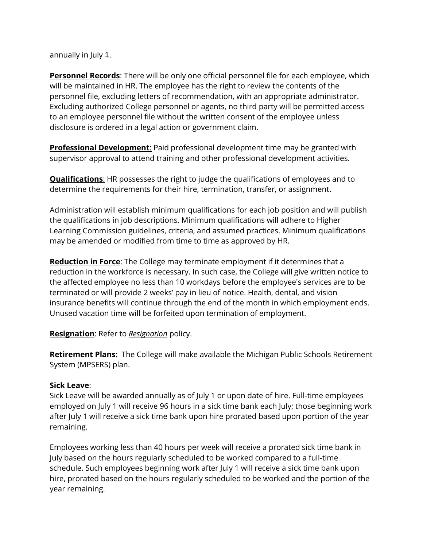annually in July 1.

**Personnel Records**: There will be only one official personnel file for each employee, which will be maintained in HR. The employee has the right to review the contents of the personnel file, excluding letters of recommendation, with an appropriate administrator. Excluding authorized College personnel or agents, no third party will be permitted access to an employee personnel file without the written consent of the employee unless disclosure is ordered in a legal action or government claim.

**Professional Development:** Paid professional development time may be granted with supervisor approval to attend training and other professional development activities.

**Qualifications**: HR possesses the right to judge the qualifications of employees and to determine the requirements for their hire, termination, transfer, or assignment.

Administration will establish minimum qualifications for each job position and will publish the qualifications in job descriptions. Minimum qualifications will adhere to Higher Learning Commission guidelines, criteria, and assumed practices. Minimum qualifications may be amended or modified from time to time as approved by HR.

**Reduction in Force**: The College may terminate employment if it determines that a reduction in the workforce is necessary. In such case, the College will give written notice to the affected employee no less than 10 workdays before the employee's services are to be terminated or will provide 2 weeks' pay in lieu of notice. Health, dental, and vision insurance benefits will continue through the end of the month in which employment ends. Unused vacation time will be forfeited upon termination of employment.

# **Resignation**: Refer to *[Resignation](https://www.lakemichigancollege.edu/policies/resignation)* policy.

**Retirement Plans:** The College will make available the Michigan Public Schools Retirement System (MPSERS) plan.

# **Sick Leave**:

Sick Leave will be awarded annually as of July 1 or upon date of hire. Full-time employees employed on July 1 will receive 96 hours in a sick time bank each July; those beginning work after July 1 will receive a sick time bank upon hire prorated based upon portion of the year remaining.

Employees working less than 40 hours per week will receive a prorated sick time bank in July based on the hours regularly scheduled to be worked compared to a full-time schedule. Such employees beginning work after July 1 will receive a sick time bank upon hire, prorated based on the hours regularly scheduled to be worked and the portion of the year remaining.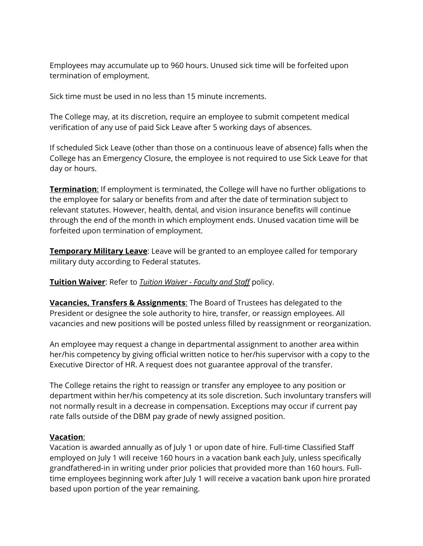Employees may accumulate up to 960 hours. Unused sick time will be forfeited upon termination of employment.

Sick time must be used in no less than 15 minute increments.

The College may, at its discretion, require an employee to submit competent medical verification of any use of paid Sick Leave after 5 working days of absences.

If scheduled Sick Leave (other than those on a continuous leave of absence) falls when the College has an Emergency Closure, the employee is not required to use Sick Leave for that day or hours.

**Termination:** If employment is terminated, the College will have no further obligations to the employee for salary or benefits from and after the date of termination subject to relevant statutes. However, health, dental, and vision insurance benefits will continue through the end of the month in which employment ends. Unused vacation time will be forfeited upon termination of employment.

**Temporary Military Leave:** Leave will be granted to an employee called for temporary military duty according to Federal statutes.

# **Tuition Waiver**: Refer to *Tuition Waiver - [Faculty and Staff](https://www.lakemichigancollege.edu/node/4519)* policy.

**Vacancies, Transfers & Assignments**: The Board of Trustees has delegated to the President or designee the sole authority to hire, transfer, or reassign employees. All vacancies and new positions will be posted unless filled by reassignment or reorganization.

An employee may request a change in departmental assignment to another area within her/his competency by giving official written notice to her/his supervisor with a copy to the Executive Director of HR. A request does not guarantee approval of the transfer.

The College retains the right to reassign or transfer any employee to any position or department within her/his competency at its sole discretion. Such involuntary transfers will not normally result in a decrease in compensation. Exceptions may occur if current pay rate falls outside of the DBM pay grade of newly assigned position.

### **Vacation**:

Vacation is awarded annually as of July 1 or upon date of hire. Full-time Classified Staff employed on July 1 will receive 160 hours in a vacation bank each July, unless specifically grandfathered-in in writing under prior policies that provided more than 160 hours. Fulltime employees beginning work after July 1 will receive a vacation bank upon hire prorated based upon portion of the year remaining.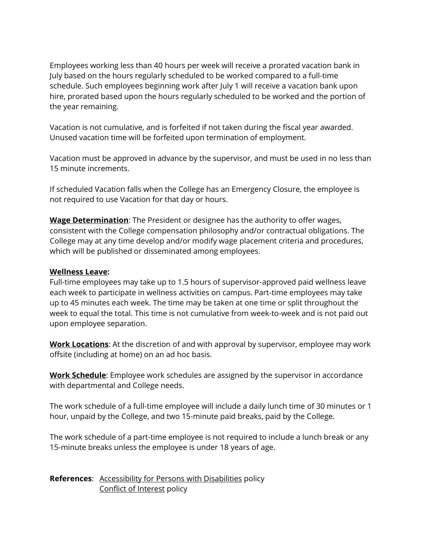Employees working less than 40 hours per week will receive a prorated vacation bank in July based on the hours regularly scheduled to be worked compared to a full-time schedule. Such employees beginning work after July 1 will receive a vacation bank upon hire, prorated based upon the hours regularly scheduled to be worked and the portion of the year remaining.

Vacation is not cumulative, and is forfeited if not taken during the fiscal year awarded. Unused vacation time will be forfeited upon termination of employment.

Vacation must be approved in advance by the supervisor, and must be used in no less than 15 minute increments.

If scheduled Vacation falls when the College has an Emergency Closure, the employee is not required to use Vacation for that day or hours.

**Wage Determination**: The President or designee has the authority to offer wages, consistent with the College compensation philosophy and/or contractual obligations. The College may at any time develop and/or modify wage placement criteria and procedures, which will be published or disseminated among employees.

# **Wellness Leave:**

Full-time employees may take up to 1.5 hours of supervisor-approved paid wellness leave each week to participate in wellness activities on campus. Part-time employees may take up to 45 minutes each week. The time may be taken at one time or split throughout the week to equal the total. This time is not cumulative from week-to-week and is not paid out upon employee separation.

**Work Locations**: At the discretion of and with approval by supervisor, employee may work offsite (including at home) on an ad hoc basis.

**Work Schedule**: Employee work schedules are assigned by the supervisor in accordance with departmental and College needs.

The work schedule of a full-time employee will include a daily lunch time of 30 minutes or 1 hour, unpaid by the College, and two 15-minute paid breaks, paid by the College.

The work schedule of a part-time employee is not required to include a lunch break or any 15-minute breaks unless the employee is under 18 years of age.

**References**: [Accessibility for Persons with Disabilities](https://www.lakemichigancollege.edu/policies/accessibility) policy [Conflict of Interest](https://www.lakemichigancollege.edu/policies/conflict-of-interest---employee) policy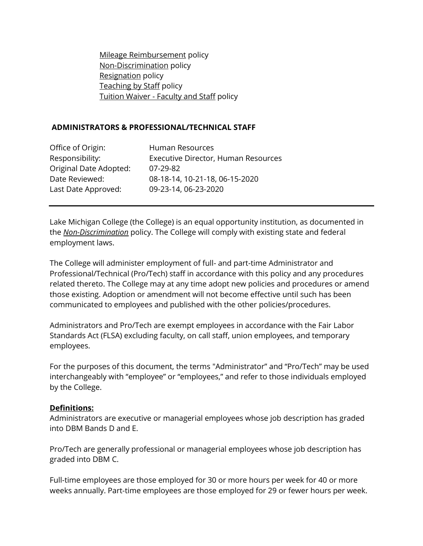[Mileage Reimbursement](https://www.lakemichigancollege.edu/policies/mileage-reimbursement) policy [Non-Discrimination](https://www.lakemichigancollege.edu/policies/non-discrimination) policy [Resignation](https://www.lakemichigancollege.edu/policies/resignation) policy [Teaching by Staff](https://www.lakemichigancollege.edu/policies/teaching-by-staff) policy Tuition Waiver - [Faculty and Staff](https://www.lakemichigancollege.edu/node/4519) policy

## **ADMINISTRATORS & PROFESSIONAL/TECHNICAL STAFF**

| Office of Origin:      | Human Resources                     |
|------------------------|-------------------------------------|
| Responsibility:        | Executive Director, Human Resources |
| Original Date Adopted: | $07 - 29 - 82$                      |
| Date Reviewed:         | 08-18-14, 10-21-18, 06-15-2020      |
| Last Date Approved:    | 09-23-14, 06-23-2020                |

Lake Michigan College (the College) is an equal opportunity institution, as documented in the *[Non-Discrimination](https://www.lakemichigancollege.edu/policies/non-discrimination)* policy. The College will comply with existing state and federal employment laws.

The College will administer employment of full- and part-time Administrator and Professional/Technical (Pro/Tech) staff in accordance with this policy and any procedures related thereto. The College may at any time adopt new policies and procedures or amend those existing. Adoption or amendment will not become effective until such has been communicated to employees and published with the other policies/procedures.

Administrators and Pro/Tech are exempt employees in accordance with the Fair Labor Standards Act (FLSA) excluding faculty, on call staff, union employees, and temporary employees.

For the purposes of this document, the terms "Administrator" and "Pro/Tech" may be used interchangeably with "employee" or "employees," and refer to those individuals employed by the College.

# **Definitions:**

Administrators are executive or managerial employees whose job description has graded into DBM Bands D and E.

Pro/Tech are generally professional or managerial employees whose job description has graded into DBM C.

Full-time employees are those employed for 30 or more hours per week for 40 or more weeks annually. Part-time employees are those employed for 29 or fewer hours per week.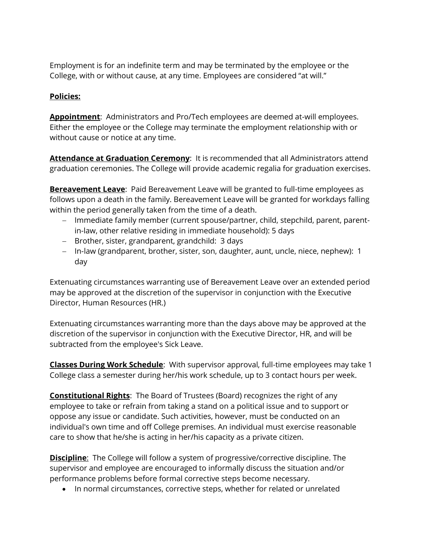Employment is for an indefinite term and may be terminated by the employee or the College, with or without cause, at any time. Employees are considered "at will."

# **Policies:**

**Appointment**: Administrators and Pro/Tech employees are deemed at-will employees. Either the employee or the College may terminate the employment relationship with or without cause or notice at any time.

**Attendance at Graduation Ceremony**: It is recommended that all Administrators attend graduation ceremonies. The College will provide academic regalia for graduation exercises.

**Bereavement Leave**: Paid Bereavement Leave will be granted to full-time employees as follows upon a death in the family. Bereavement Leave will be granted for workdays falling within the period generally taken from the time of a death.

- Immediate family member (current spouse/partner, child, stepchild, parent, parentin-law, other relative residing in immediate household): 5 days
- Brother, sister, grandparent, grandchild: 3 days
- In-law (grandparent, brother, sister, son, daughter, aunt, uncle, niece, nephew): 1 day

Extenuating circumstances warranting use of Bereavement Leave over an extended period may be approved at the discretion of the supervisor in conjunction with the Executive Director, Human Resources (HR.)

Extenuating circumstances warranting more than the days above may be approved at the discretion of the supervisor in conjunction with the Executive Director, HR, and will be subtracted from the employee's Sick Leave.

**Classes During Work Schedule**: With supervisor approval, full-time employees may take 1 College class a semester during her/his work schedule, up to 3 contact hours per week.

**Constitutional Rights**: The Board of Trustees (Board) recognizes the right of any employee to take or refrain from taking a stand on a political issue and to support or oppose any issue or candidate. Such activities, however, must be conducted on an individual's own time and off College premises. An individual must exercise reasonable care to show that he/she is acting in her/his capacity as a private citizen.

**Discipline**: The College will follow a system of progressive/corrective discipline. The supervisor and employee are encouraged to informally discuss the situation and/or performance problems before formal corrective steps become necessary.

• In normal circumstances, corrective steps, whether for related or unrelated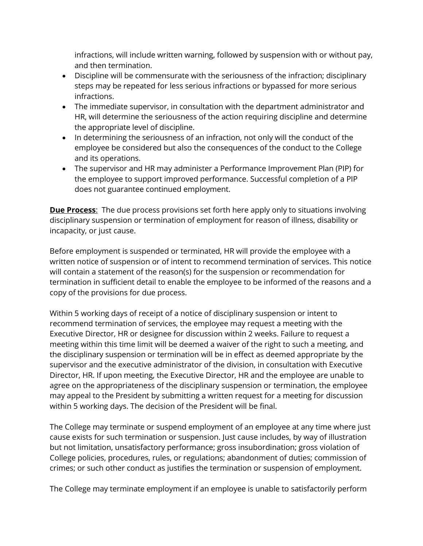infractions, will include written warning, followed by suspension with or without pay, and then termination.

- Discipline will be commensurate with the seriousness of the infraction; disciplinary steps may be repeated for less serious infractions or bypassed for more serious infractions.
- The immediate supervisor, in consultation with the department administrator and HR, will determine the seriousness of the action requiring discipline and determine the appropriate level of discipline.
- In determining the seriousness of an infraction, not only will the conduct of the employee be considered but also the consequences of the conduct to the College and its operations.
- The supervisor and HR may administer a Performance Improvement Plan (PIP) for the employee to support improved performance. Successful completion of a PIP does not guarantee continued employment.

**Due Process**: The due process provisions set forth here apply only to situations involving disciplinary suspension or termination of employment for reason of illness, disability or incapacity, or just cause.

Before employment is suspended or terminated, HR will provide the employee with a written notice of suspension or of intent to recommend termination of services. This notice will contain a statement of the reason(s) for the suspension or recommendation for termination in sufficient detail to enable the employee to be informed of the reasons and a copy of the provisions for due process.

Within 5 working days of receipt of a notice of disciplinary suspension or intent to recommend termination of services, the employee may request a meeting with the Executive Director, HR or designee for discussion within 2 weeks. Failure to request a meeting within this time limit will be deemed a waiver of the right to such a meeting, and the disciplinary suspension or termination will be in effect as deemed appropriate by the supervisor and the executive administrator of the division, in consultation with Executive Director, HR. If upon meeting, the Executive Director, HR and the employee are unable to agree on the appropriateness of the disciplinary suspension or termination, the employee may appeal to the President by submitting a written request for a meeting for discussion within 5 working days. The decision of the President will be final.

The College may terminate or suspend employment of an employee at any time where just cause exists for such termination or suspension. Just cause includes, by way of illustration but not limitation, unsatisfactory performance; gross insubordination; gross violation of College policies, procedures, rules, or regulations; abandonment of duties; commission of crimes; or such other conduct as justifies the termination or suspension of employment.

The College may terminate employment if an employee is unable to satisfactorily perform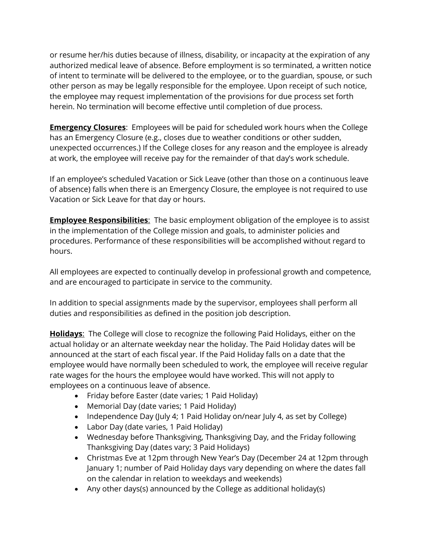or resume her/his duties because of illness, disability, or incapacity at the expiration of any authorized medical leave of absence. Before employment is so terminated, a written notice of intent to terminate will be delivered to the employee, or to the guardian, spouse, or such other person as may be legally responsible for the employee. Upon receipt of such notice, the employee may request implementation of the provisions for due process set forth herein. No termination will become effective until completion of due process.

**Emergency Closures**: Employees will be paid for scheduled work hours when the College has an Emergency Closure (e.g., closes due to weather conditions or other sudden, unexpected occurrences.) If the College closes for any reason and the employee is already at work, the employee will receive pay for the remainder of that day's work schedule.

If an employee's scheduled Vacation or Sick Leave (other than those on a continuous leave of absence) falls when there is an Emergency Closure, the employee is not required to use Vacation or Sick Leave for that day or hours.

**Employee Responsibilities:** The basic employment obligation of the employee is to assist in the implementation of the College mission and goals, to administer policies and procedures. Performance of these responsibilities will be accomplished without regard to hours.

All employees are expected to continually develop in professional growth and competence, and are encouraged to participate in service to the community.

In addition to special assignments made by the supervisor, employees shall perform all duties and responsibilities as defined in the position job description.

**Holidays**: The College will close to recognize the following Paid Holidays, either on the actual holiday or an alternate weekday near the holiday. The Paid Holiday dates will be announced at the start of each fiscal year. If the Paid Holiday falls on a date that the employee would have normally been scheduled to work, the employee will receive regular rate wages for the hours the employee would have worked. This will not apply to employees on a continuous leave of absence.

- Friday before Easter (date varies; 1 Paid Holiday)
- Memorial Day (date varies; 1 Paid Holiday)
- Independence Day (July 4; 1 Paid Holiday on/near July 4, as set by College)
- Labor Day (date varies, 1 Paid Holiday)
- Wednesday before Thanksgiving, Thanksgiving Day, and the Friday following Thanksgiving Day (dates vary; 3 Paid Holidays)
- Christmas Eve at 12pm through New Year's Day (December 24 at 12pm through January 1; number of Paid Holiday days vary depending on where the dates fall on the calendar in relation to weekdays and weekends)
- Any other days(s) announced by the College as additional holiday(s)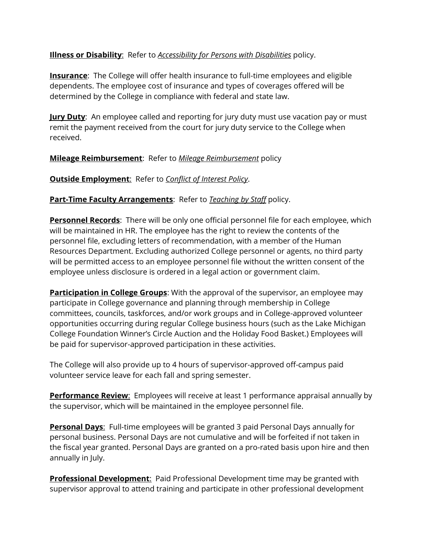# **Illness or Disability**: Refer to *[Accessibility for Persons with Disabilities](https://www.lakemichigancollege.edu/policies/accessibility)* policy.

**Insurance**: The College will offer health insurance to full-time employees and eligible dependents. The employee cost of insurance and types of coverages offered will be determined by the College in compliance with federal and state law.

**Jury Duty**: An employee called and reporting for jury duty must use vacation pay or must remit the payment received from the court for jury duty service to the College when received.

# **Mileage Reimbursement**: Refer to *[Mileage Reimbursement](https://www.lakemichigancollege.edu/policies/mileage-reimbursement)* policy

**Outside Employment**: Refer to *[Conflict of Interest Policy](https://www.lakemichigancollege.edu/policies/conflict-of-interest---employee)*.

# **Part-Time Faculty Arrangements**: Refer to *[Teaching by Staff](https://www.lakemichigancollege.edu/policies/teaching-by-staff)* policy.

**Personnel Records**: There will be only one official personnel file for each employee, which will be maintained in HR. The employee has the right to review the contents of the personnel file, excluding letters of recommendation, with a member of the Human Resources Department. Excluding authorized College personnel or agents, no third party will be permitted access to an employee personnel file without the written consent of the employee unless disclosure is ordered in a legal action or government claim.

**Participation in College Groups**: With the approval of the supervisor, an employee may participate in College governance and planning through membership in College committees, councils, taskforces, and/or work groups and in College-approved volunteer opportunities occurring during regular College business hours (such as the Lake Michigan College Foundation Winner's Circle Auction and the Holiday Food Basket.) Employees will be paid for supervisor-approved participation in these activities.

The College will also provide up to 4 hours of supervisor-approved off-campus paid volunteer service leave for each fall and spring semester.

**Performance Review**: Employees will receive at least 1 performance appraisal annually by the supervisor, which will be maintained in the employee personnel file.

**Personal Days:** Full-time employees will be granted 3 paid Personal Days annually for personal business. Personal Days are not cumulative and will be forfeited if not taken in the fiscal year granted. Personal Days are granted on a pro-rated basis upon hire and then annually in July.

**Professional Development:** Paid Professional Development time may be granted with supervisor approval to attend training and participate in other professional development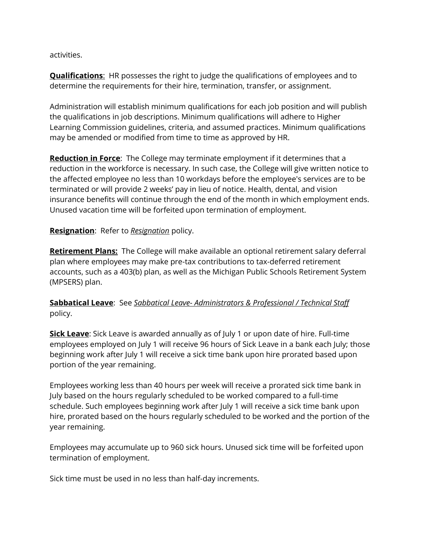activities.

**Qualifications**: HR possesses the right to judge the qualifications of employees and to determine the requirements for their hire, termination, transfer, or assignment.

Administration will establish minimum qualifications for each job position and will publish the qualifications in job descriptions. Minimum qualifications will adhere to Higher Learning Commission guidelines, criteria, and assumed practices. Minimum qualifications may be amended or modified from time to time as approved by HR.

**Reduction in Force**: The College may terminate employment if it determines that a reduction in the workforce is necessary. In such case, the College will give written notice to the affected employee no less than 10 workdays before the employee's services are to be terminated or will provide 2 weeks' pay in lieu of notice. Health, dental, and vision insurance benefits will continue through the end of the month in which employment ends. Unused vacation time will be forfeited upon termination of employment.

# **Resignation**: Refer to *[Resignation](https://www.lakemichigancollege.edu/policies/resignation)* policy.

**Retirement Plans:** The College will make available an optional retirement salary deferral plan where employees may make pre-tax contributions to tax-deferred retirement accounts, such as a 403(b) plan, as well as the Michigan Public Schools Retirement System (MPSERS) plan.

**Sabbatical Leave**: See *Sabbatical Leave- [Administrators & Professional / Technical Staff](https://www.lakemichigancollege.edu/policies/sabbatical-leave---administrators-professional-technical-staff)* policy.

**Sick Leave**: Sick Leave is awarded annually as of July 1 or upon date of hire. Full-time employees employed on July 1 will receive 96 hours of Sick Leave in a bank each July; those beginning work after July 1 will receive a sick time bank upon hire prorated based upon portion of the year remaining.

Employees working less than 40 hours per week will receive a prorated sick time bank in July based on the hours regularly scheduled to be worked compared to a full-time schedule. Such employees beginning work after July 1 will receive a sick time bank upon hire, prorated based on the hours regularly scheduled to be worked and the portion of the year remaining.

Employees may accumulate up to 960 sick hours. Unused sick time will be forfeited upon termination of employment.

Sick time must be used in no less than half-day increments.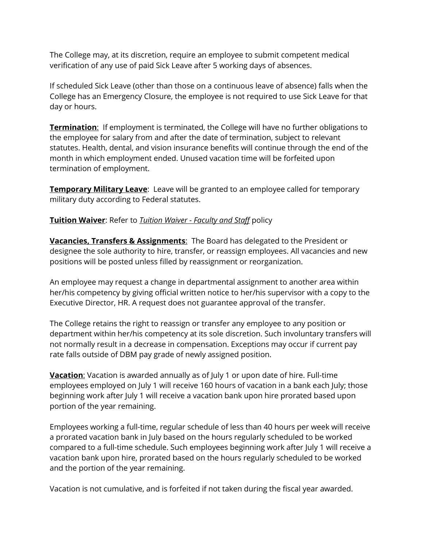The College may, at its discretion, require an employee to submit competent medical verification of any use of paid Sick Leave after 5 working days of absences.

If scheduled Sick Leave (other than those on a continuous leave of absence) falls when the College has an Emergency Closure, the employee is not required to use Sick Leave for that day or hours.

**Termination:** If employment is terminated, the College will have no further obligations to the employee for salary from and after the date of termination, subject to relevant statutes. Health, dental, and vision insurance benefits will continue through the end of the month in which employment ended. Unused vacation time will be forfeited upon termination of employment.

**Temporary Military Leave**: Leave will be granted to an employee called for temporary military duty according to Federal statutes.

# **Tuition Waiver**: Refer to *Tuition Waiver - [Faculty and Staff](https://www.lakemichigancollege.edu/node/4519)* policy

**Vacancies, Transfers & Assignments**: The Board has delegated to the President or designee the sole authority to hire, transfer, or reassign employees. All vacancies and new positions will be posted unless filled by reassignment or reorganization.

An employee may request a change in departmental assignment to another area within her/his competency by giving official written notice to her/his supervisor with a copy to the Executive Director, HR. A request does not guarantee approval of the transfer.

The College retains the right to reassign or transfer any employee to any position or department within her/his competency at its sole discretion. Such involuntary transfers will not normally result in a decrease in compensation. Exceptions may occur if current pay rate falls outside of DBM pay grade of newly assigned position.

**Vacation**: Vacation is awarded annually as of July 1 or upon date of hire. Full-time employees employed on July 1 will receive 160 hours of vacation in a bank each July; those beginning work after July 1 will receive a vacation bank upon hire prorated based upon portion of the year remaining.

Employees working a full-time, regular schedule of less than 40 hours per week will receive a prorated vacation bank in July based on the hours regularly scheduled to be worked compared to a full-time schedule. Such employees beginning work after July 1 will receive a vacation bank upon hire, prorated based on the hours regularly scheduled to be worked and the portion of the year remaining.

Vacation is not cumulative, and is forfeited if not taken during the fiscal year awarded.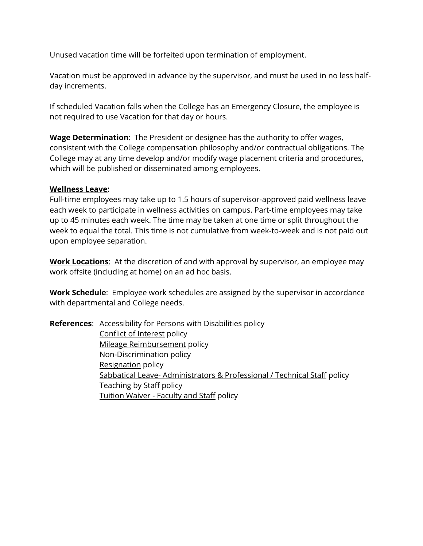Unused vacation time will be forfeited upon termination of employment.

Vacation must be approved in advance by the supervisor, and must be used in no less halfday increments.

If scheduled Vacation falls when the College has an Emergency Closure, the employee is not required to use Vacation for that day or hours.

**Wage Determination**: The President or designee has the authority to offer wages, consistent with the College compensation philosophy and/or contractual obligations. The College may at any time develop and/or modify wage placement criteria and procedures, which will be published or disseminated among employees.

### **Wellness Leave:**

Full-time employees may take up to 1.5 hours of supervisor-approved paid wellness leave each week to participate in wellness activities on campus. Part-time employees may take up to 45 minutes each week. The time may be taken at one time or split throughout the week to equal the total. This time is not cumulative from week-to-week and is not paid out upon employee separation.

**Work Locations**: At the discretion of and with approval by supervisor, an employee may work offsite (including at home) on an ad hoc basis.

**Work Schedule**: Employee work schedules are assigned by the supervisor in accordance with departmental and College needs.

**References:** [Accessibility for Persons with Disabilities](https://www.lakemichigancollege.edu/policies/accessibility) policy [Conflict of Interest](https://www.lakemichigancollege.edu/policies/conflict-of-interest---employee) policy [Mileage Reimbursement](https://www.lakemichigancollege.edu/policies/mileage-reimbursement) policy [Non-Discrimination](https://www.lakemichigancollege.edu/policies/non-discrimination) policy [Resignation](https://www.lakemichigancollege.edu/policies/resignation) policy Sabbatical Leave- [Administrators & Professional / Technical Staff](https://www.lakemichigancollege.edu/policies/sabbatical-leave---administrators-professional-technical-staff) policy [Teaching by Staff](https://www.lakemichigancollege.edu/policies/teaching-by-staff) policy Tuition Waiver - [Faculty and Staff](https://www.lakemichigancollege.edu/node/4519) policy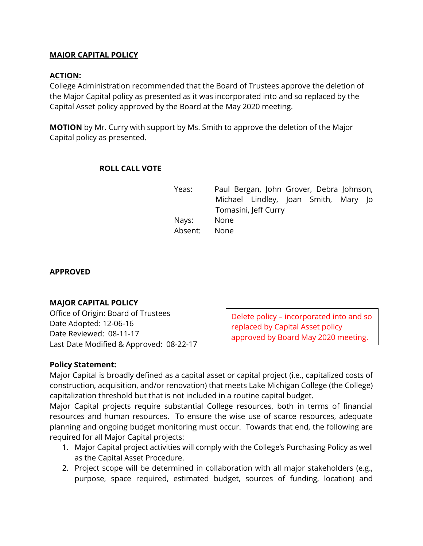# **MAJOR CAPITAL POLICY**

# **ACTION:**

College Administration recommended that the Board of Trustees approve the deletion of the Major Capital policy as presented as it was incorporated into and so replaced by the Capital Asset policy approved by the Board at the May 2020 meeting.

**MOTION** by Mr. Curry with support by Ms. Smith to approve the deletion of the Major Capital policy as presented.

# **ROLL CALL VOTE**

Yeas: Paul Bergan, John Grover, Debra Johnson, Michael Lindley, Joan Smith, Mary Jo Tomasini, Jeff Curry Nays: None Absent: None

### **APPROVED**

# **MAJOR CAPITAL POLICY**

Office of Origin: Board of Trustees Date Adopted: 12-06-16 Date Reviewed: 08-11-17 Last Date Modified & Approved: 08-22-17

Delete policy – incorporated into and so replaced by Capital Asset policy approved by Board May 2020 meeting.

# **Policy Statement:**

Major Capital is broadly defined as a capital asset or capital project (i.e., capitalized costs of construction, acquisition, and/or renovation) that meets Lake Michigan College (the College) capitalization threshold but that is not included in a routine capital budget.

Major Capital projects require substantial College resources, both in terms of financial resources and human resources. To ensure the wise use of scarce resources, adequate planning and ongoing budget monitoring must occur. Towards that end, the following are required for all Major Capital projects:

- 1. Major Capital project activities will comply with the College's Purchasing Policy as well as the Capital Asset Procedure.
- 2. Project scope will be determined in collaboration with all major stakeholders (e.g., purpose, space required, estimated budget, sources of funding, location) and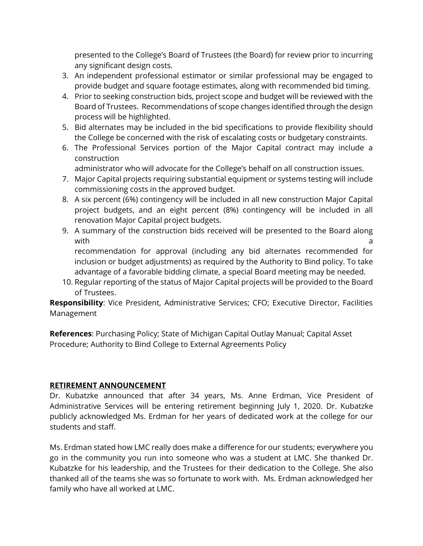presented to the College's Board of Trustees (the Board) for review prior to incurring any significant design costs.

- 3. An independent professional estimator or similar professional may be engaged to provide budget and square footage estimates, along with recommended bid timing.
- 4. Prior to seeking construction bids, project scope and budget will be reviewed with the Board of Trustees. Recommendations of scope changes identified through the design process will be highlighted.
- 5. Bid alternates may be included in the bid specifications to provide flexibility should the College be concerned with the risk of escalating costs or budgetary constraints.
- 6. The Professional Services portion of the Major Capital contract may include a construction

administrator who will advocate for the College's behalf on all construction issues.

- 7. Major Capital projects requiring substantial equipment or systems testing will include commissioning costs in the approved budget.
- 8. A six percent (6%) contingency will be included in all new construction Major Capital project budgets, and an eight percent (8%) contingency will be included in all renovation Major Capital project budgets.
- 9. A summary of the construction bids received will be presented to the Board along with a contract of the contract of the contract of the contract of the contract of the contract of the contract of the contract of the contract of the contract of the contract of the contract of the contract of the contrac recommendation for approval (including any bid alternates recommended for

inclusion or budget adjustments) as required by the Authority to Bind policy. To take advantage of a favorable bidding climate, a special Board meeting may be needed.

10. Regular reporting of the status of Major Capital projects will be provided to the Board of Trustees.

**Responsibility**: Vice President, Administrative Services; CFO; Executive Director, Facilities Management

**References**: Purchasing Policy; State of Michigan Capital Outlay Manual; Capital Asset Procedure; Authority to Bind College to External Agreements Policy

# **RETIREMENT ANNOUNCEMENT**

Dr. Kubatzke announced that after 34 years, Ms. Anne Erdman, Vice President of Administrative Services will be entering retirement beginning July 1, 2020. Dr. Kubatzke publicly acknowledged Ms. Erdman for her years of dedicated work at the college for our students and staff.

Ms. Erdman stated how LMC really does make a difference for our students; everywhere you go in the community you run into someone who was a student at LMC. She thanked Dr. Kubatzke for his leadership, and the Trustees for their dedication to the College. She also thanked all of the teams she was so fortunate to work with. Ms. Erdman acknowledged her family who have all worked at LMC.